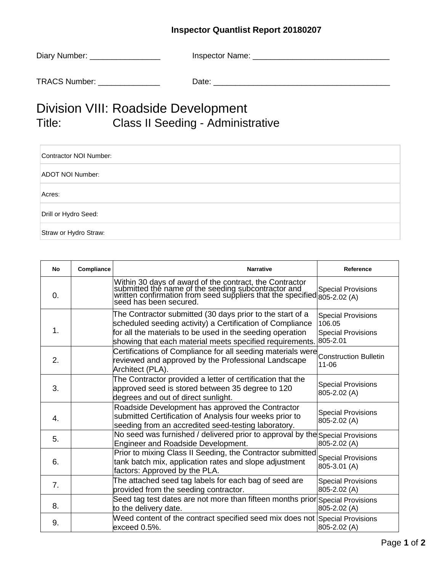## **Inspector Quantlist Report 20180207**

| Diary Number: | Inspector Name: |
|---------------|-----------------|
|               |                 |

TRACS Number: \_\_\_\_\_\_\_\_\_\_\_\_\_\_ Date: \_\_\_\_\_\_\_\_\_\_\_\_\_\_\_\_\_\_\_\_\_\_\_\_\_\_\_\_\_\_\_\_\_\_\_\_\_\_\_\_

## Division VIII: Roadside Development Title: Class II Seeding - Administrative

| Contractor NOI Number: |  |
|------------------------|--|
| ADOT NOI Number:       |  |
| Acres:                 |  |
| Drill or Hydro Seed:   |  |
| Straw or Hydro Straw:  |  |

| No             | Compliance | <b>Narrative</b>                                                                                                                                                                                                                                | Reference                                                                    |
|----------------|------------|-------------------------------------------------------------------------------------------------------------------------------------------------------------------------------------------------------------------------------------------------|------------------------------------------------------------------------------|
| 0.             |            | Within 30 days of award of the contract, the Contractor<br>submitted the name of the seeding subcontractor and<br>written confirmation from seed suppliers that the specified 805-2.02 (A)<br>seed has been secured.                            | <b>Special Provisions</b>                                                    |
| 1.             |            | The Contractor submitted (30 days prior to the start of a<br>scheduled seeding activity) a Certification of Compliance<br>for all the materials to be used in the seeding operation<br>showing that each material meets specified requirements. | <b>Special Provisions</b><br>106.05<br><b>Special Provisions</b><br>805-2.01 |
| 2.             |            | Certifications of Compliance for all seeding materials were<br>reviewed and approved by the Professional Landscape<br>Architect (PLA).                                                                                                          | <b>Construction Bulletin</b><br>11-06                                        |
| 3.             |            | The Contractor provided a letter of certification that the<br>approved seed is stored between 35 degree to 120<br>degrees and out of direct sunlight.                                                                                           | <b>Special Provisions</b><br>805-2.02 (A)                                    |
| 4.             |            | Roadside Development has approved the Contractor<br>submitted Certification of Analysis four weeks prior to<br>seeding from an accredited seed-testing laboratory.                                                                              | <b>Special Provisions</b><br>805-2.02 (A)                                    |
| 5.             |            | No seed was furnished / delivered prior to approval by the Special Provisions<br>Engineer and Roadside Development.                                                                                                                             | 805-2.02 (A)                                                                 |
| 6.             |            | Prior to mixing Class II Seeding, the Contractor submitted<br>tank batch mix, application rates and slope adjustment<br>factors: Approved by the PLA.                                                                                           | <b>Special Provisions</b><br>805-3.01 (A)                                    |
| 7 <sub>1</sub> |            | The attached seed tag labels for each bag of seed are<br>provided from the seeding contractor.                                                                                                                                                  | <b>Special Provisions</b><br>805-2.02 (A)                                    |
| 8.             |            | Seed tag test dates are not more than fifteen months prior Special Provisions<br>to the delivery date.                                                                                                                                          | 805-2.02 (A)                                                                 |
| 9.             |            | Weed content of the contract specified seed mix does not Special Provisions<br>exceed 0.5%.                                                                                                                                                     | 805-2.02 (A)                                                                 |